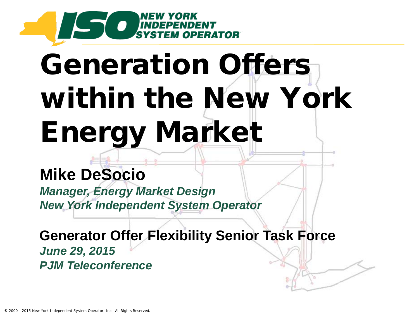

# Generation Offers within the New York Energy Market

#### **Mike DeSocio**

*Manager, Energy Market Design New York Independent System Operator*

**Generator Offer Flexibility Senior Task Force**  *June 29, 2015 PJM Teleconference*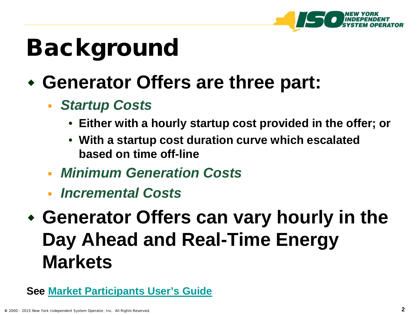

### Background

- **Generator Offers are three part:**
	- *Startup Costs*
		- **Either with a hourly startup cost provided in the offer; or**
		- **With a startup cost duration curve which escalated based on time off-line**
	- *Minimum Generation Costs*
	- *Incremental Costs*
- **Generator Offers can vary hourly in the Day Ahead and Real-Time Energy Markets**

```
See Market Participants User's Guide
```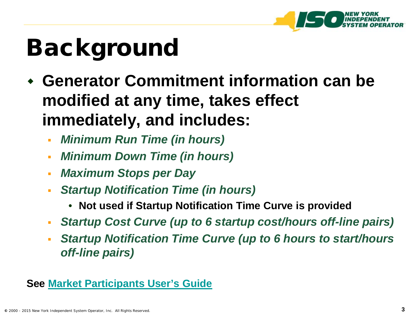

### Background

- **Generator Commitment information can be modified at any time, takes effect immediately, and includes:**
	- *Minimum Run Time (in hours)*
	- *Minimum Down Time (in hours)*
	- *Maximum Stops per Day*
	- *Startup Notification Time (in hours)*
		- **Not used if Startup Notification Time Curve is provided**
	- *Startup Cost Curve (up to 6 startup cost/hours off-line pairs)*
	- *Startup Notification Time Curve (up to 6 hours to start/hours off-line pairs)*

#### **See [Market Participants User's Guide](http://www.nyiso.com/public/webdocs/markets_operations/documents/Manuals_and_Guides/Guides/User_Guides/mpug.pdf)**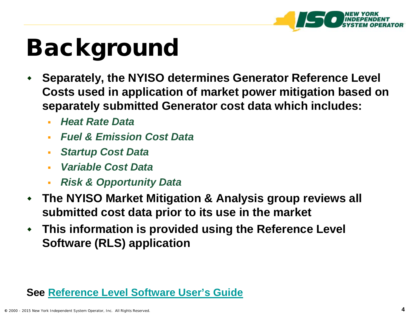

### Background

- **Separately, the NYISO determines Generator Reference Level Costs used in application of market power mitigation based on separately submitted Generator cost data which includes:**
	- *Heat Rate Data*
	- *Fuel & Emission Cost Data*
	- *Startup Cost Data*
	- *Variable Cost Data*
	- *Risk & Opportunity Data*
- **The NYISO Market Mitigation & Analysis group reviews all submitted cost data prior to its use in the market**
- **This information is provided using the Reference Level Software (RLS) application**

#### **See [Reference Level Software User's Guide](http://www.nyiso.com/public/webdocs/markets_operations/documents/Manuals_and_Guides/Guides/User_Guides/Ref_Lev__SW_UG.pdf)**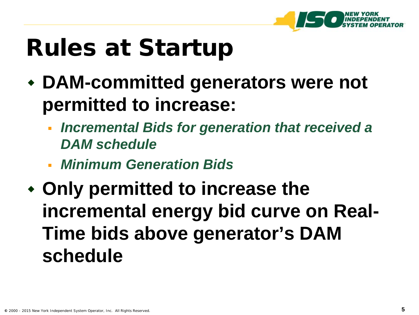

#### Rules at Startup

- **DAM-committed generators were not permitted to increase:**
	- *Incremental Bids for generation that received a DAM schedule*
	- *Minimum Generation Bids*
- **Only permitted to increase the incremental energy bid curve on Real-Time bids above generator's DAM schedule**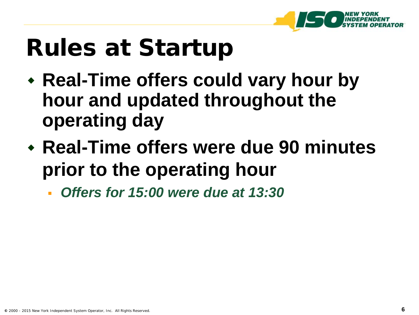

#### Rules at Startup

- **Real-Time offers could vary hour by hour and updated throughout the operating day**
- **Real-Time offers were due 90 minutes prior to the operating hour** 
	- *Offers for 15:00 were due at 13:30*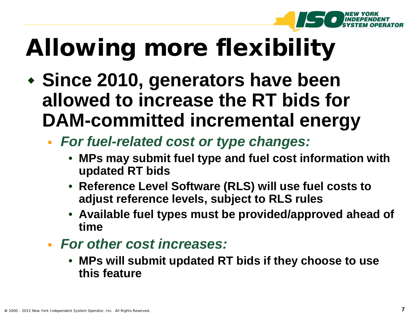

# Allowing more flexibility

- **Since 2010, generators have been allowed to increase the RT bids for DAM-committed incremental energy** 
	- *For fuel-related cost or type changes:* 
		- **MPs may submit fuel type and fuel cost information with updated RT bids**
		- **Reference Level Software (RLS) will use fuel costs to adjust reference levels, subject to RLS rules**
		- **Available fuel types must be provided/approved ahead of time**
	- *For other cost increases:*
		- **MPs will submit updated RT bids if they choose to use this feature**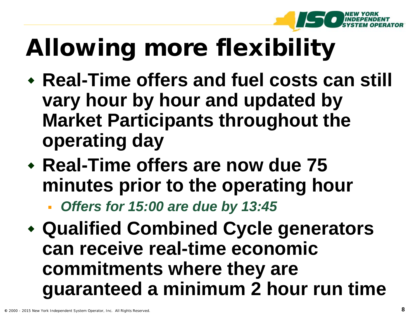

# Allowing more flexibility

- **Real-Time offers and fuel costs can still vary hour by hour and updated by Market Participants throughout the operating day**
- **Real-Time offers are now due 75 minutes prior to the operating hour**

*Offers for 15:00 are due by 13:45*

 **Qualified Combined Cycle generators can receive real-time economic commitments where they are guaranteed a minimum 2 hour run time**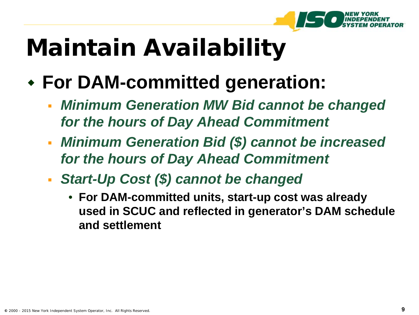

# Maintain Availability

#### **For DAM-committed generation:**

- *Minimum Generation MW Bid cannot be changed for the hours of Day Ahead Commitment*
- *Minimum Generation Bid (\$) cannot be increased for the hours of Day Ahead Commitment*
- *Start-Up Cost (\$) cannot be changed*
	- **For DAM-committed units, start-up cost was already used in SCUC and reflected in generator's DAM schedule and settlement**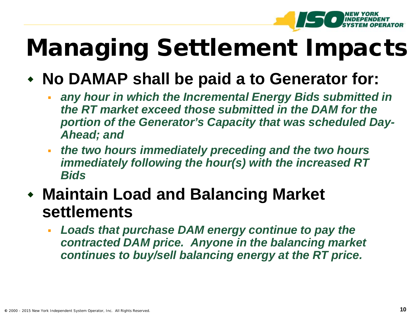

### Managing Settlement Impacts

#### **No DAMAP shall be paid a to Generator for:**

- **any hour in which the Incremental Energy Bids submitted in** *the RT market exceed those submitted in the DAM for the portion of the Generator's Capacity that was scheduled Day-Ahead; and*
- *the two hours immediately preceding and the two hours immediately following the hour(s) with the increased RT Bids*
- **Maintain Load and Balancing Market settlements** 
	- *Loads that purchase DAM energy continue to pay the contracted DAM price. Anyone in the balancing market continues to buy/sell balancing energy at the RT price.*